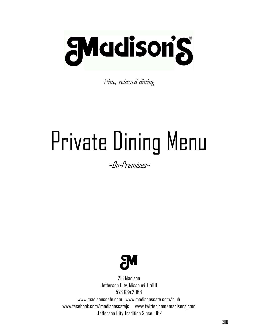

*Fine, relaxed dining*

# Private Dining Menu

 $\sim$ Nn-Premises~



216 Madison Jefferson City, Missouri 65101 573.634.2988 [www.madisonscafe.com](http://www.madisonscafe.com/) www.madisonscafe.com/club [www.facebook.com/madisonscafejc](http://www.facebook.com/madisonscafejc) [www.twitter.com/madisonsjcmo](http://www.twitter.com/madisonsjcmo) Jefferson City Tradition Since 19822110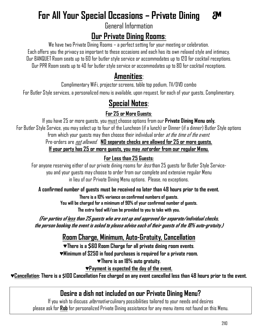#### **For All Your Special Occasions – Private Dining AM**

General Information

# **Our Private Dining Rooms**:

We have two Private Dining Rooms - a perfect setting for your meeting or celebration.

Each offers you the privacy so important to these occasions and each has its own relaxed style and intimacy. Our BANQUET Room seats up to 60 for butler style service or accommodates up to 120 for cocktail receptions. Our PPR Room seats up to 40 for butler style service or accommodates up to 80 for cocktail receptions.

# **Amenities**:

Complimentary WiFi, projector screens, table top podium, TV/DVD combo

For Butler Style services, a personalized menu is available, upon request, for each of your guests, Complimentary.

# **Special Notes**:

**For 25 or More Guests**:

If you have 25 or more guests, you must choose options from our **Private Dining Menu only.** For Butler Style Service, you mayselect up to four of the Luncheon (if a lunch) or Dinner (if a dinner) Butler Style options from which your quests may then choose their individual order *at the time of the event*. Pre-orders are notallowed. **N0 separate checks are allowed for 25 or more guests. If your party has 25 or more guests, you may not order from our regular Menu.**

# **For Less than 25 Guests:**

For anyone reserving either of our private dining rooms for *less* than 25 guests for Butler Style Serviceyou and your guests may choose to order from our complete and extensive regular Menu in lieu of our Private Dining Menu options. Please, no exceptions.

# **A confirmed number of guests must be received no later than 48 hours prior to the event.**

**There is a 10% variance on confirmed numbers of guests. You will be charged for a minimum of 90% of your confirmed number of guests. The extra food will/can be provided to you to take with you.**

**(For parties of less than 25 guests who are set up and approved for separate/individual checks, the person booking the event is asked to please advise each of their guests of the 18% auto-gratuity.)**

# **Room Charge, Minimum, Auto-Gratuity, Cancellation**

**♥There is a \$60 Room Charge for all private dining room events**.

**♥Minimum of \$250 in food purchases is required for a private room.**

**♥There is an 18% auto gratuity.** 

**♥Payment is expected the day of the event.**

**♥Cancellation: There is a \$100 Cancellation Fee charged on any event cancelled less than 48 hours prior to the event.**

# **Desire a dish not included on our Private Dining Menu?**

If you wish to discuss *alternative* culinary possibilities tailored to your needs and desires please ask for **Rob** for personalized Private Dining assistance for any menu items not found on this Menu.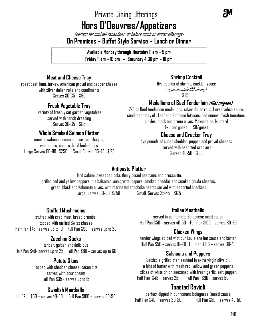# Private Dining Offerings **Hors D'Oeuvres/Appetizers**

(perfect for cocktail receptions; or before lunch or dinner offerings) **On Premises ~ Buffet Style Service ~ Lunch or Dinner**

> **Available Monday through Thursday 11 am – 9 pm Friday 11 am – 10 pm ~ Saturday 4:30 pm – 10 pm**

# **Meat and Cheese Tray**

roast beef, ham, turkey, American provel and pepper cheese with silver dollar rolls and condiments Serves 30-35 \$90

#### **Fresh Vegetable Tray**

variety of freshly cut garden vegetables served with ranch dressing Serves 30-35 \$65

#### **Whole Smoked Salmon Platter**

smoked salmon, cream cheese, mini-bagels, red onions, capers, hard boiled eggs Large Serves 60-80 \$250 Small Serves 35-45 \$125

#### **Shrimp Cocktail**

five pounds of shrimp, cocktail sauce (approximately 100 shrimp) \$ 150

#### **Medallions of Beef Tenderloin (filet mignon)**

2-3 oz Beef tenderloin medallions, silver dollar rolls, Horseradish sauce, condiment tray of : Leaf and Romaine lettuces, red onions, fresh tomatoes, pickles, black and green olives, Mayonnaise, Mustard Two per guest \$11/guest

#### **Cheese and Cracker Tray**

five pounds of cubed cheddar, pepper and provel cheeses served with assorted crackers Serves 40-50 \$60

#### **Antipasto Platter**

Hard salami, sweet capicola, thinly sliced pastrami, and prosciutto; grilled red and yellow peppers in a balsamic vinaigrette, capers, smoked cheddar and smoked gouda cheeses, green, black and Kalamata olives, with marinated artichoke hearts served with assorted crackers Large Serves 60-80 \$250 Small Serves 35-45 \$125

#### **Stuffed Mushrooms**

stuffed with crab meat, bread crumbs, topped with melted Swiss cheese Half Pan \$45 –serves up to 10 Full Pan \$90 – serves up to 20

#### **Zucchini Sticks**

tender, golden and delicious Half Pan \$40- serves up to 25 Full Pan \$80 – serves up to 60

#### **Potato Skins**

Topped with cheddar cheese, bacon bits served with sour cream Full Pan \$35 - serves up to 15

#### **Swedish Meatballs**

 $H$ alf Pan  $$50 -$ serves 40-50  $\,$  Full Pan  $$100 -$ serves 80-90

#### **Italian Meatballs**

served in our tomato Bolognese meat sauce Half Pan \$50 – serves 40-50 Full Pan \$100 – serves 80-90

#### **Chicken Wings**

tender wings spiced with our Louisiana hot sauce and butter Half Pan \$50 – serves 10-20 Full Pan \$100 – serves 30-40

#### **Salsiccia and Peppers**

Salsiccia grilled then sautéed in extra virgin olive oil, a hint of butter with fresh red, yellow and green peppers slices of white onion seasoned with fresh garlic, salt, pepper. Half Pan \$45 – serves 25 Full Pan \$90 – serves 50

# **Toasted Ravioli**

perfect dipped in our tomato Bolognese (meat) sauce Half Pan \$40 – serves 20-30 Full Pan \$80 – serves 40-50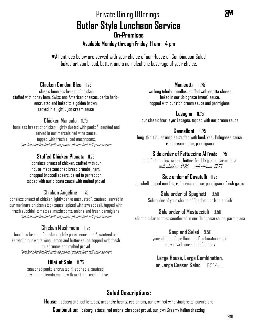# Private Dining Offerings **Butler Style Luncheon Service On-Premises Available Monday through Friday 11 am – 4 pm**

♥All entrees below are served with your choice of our House or Combination Salad, baked artisan bread, butter, and a non-alcoholic beverage of your choice**.**

#### **Chicken Cordon Bleu** 11.75

classic boneless breast of chicken stuffed with honey ham, Swiss and American cheeses, panko herbencrusted and baked to a golden brown, served in a light Dijon cream sauce

#### **Chicken Marsala** 11.75

boneless breast of chicken, lightly dusted with panko\*, sautéed and served in our marsala red wine sauce, topped with fresh sliced mushrooms. \*prefer charbroiled with no panko, please just tell your server.

## **Stuffed Chicken Piccata** 11.75

boneless breast of chicken, stuffed with our house-made seasoned bread crumbs, ham, chopped broccoli spears, baked to perfection, topped with our piccata sauce with melted provel

#### **Chicken Angeline** 11.75

boneless breast of chicken lightly panko encrusted\*, sautéed, served in our marinara chicken stock sauce, spiced with sweet basil, topped with fresh zucchini, tomatoes, mushrooms, onions and fresh parmigiana \*prefer charbroiled with no panko, please just tell your server.

#### **Chicken Mushroom** 11.75

boneless breast of chicken, lightly panko encrusted\*, sautéed and served in our white wine, lemon and butter sauce, topped with fresh mushrooms and melted provel \*prefer charbroiled with no panko, please just tell your server.

#### **Fillet of Sole 11.75**

seasoned panko encrusted fillet of sole, sautéed, served in a piccata sauce with melted provel cheese

#### **Manicotti** 11.75

two long tubular noodles, stuffed with ricotta cheese, baked in our Bolognese (meat) sauce, topped with our rich cream sauce and parmigiana

**Lasagna** 11.75 our classic four layer Lasagna, topped with our cream sauce

**Cannelloni** 11.75 long, thin tubular noodles stuffed with beef, veal; Bolognese sauce; rich cream sauce, parmigiana

#### **Side order of Fettuccine Al Fredo** 11.75

thin flat noodles, cream, butter, freshly grated parmigiana with chicken 13.25 with shrimp 13.75

#### **Side order of Cavatelli** 11.75

seashell shaped noodles, rich cream sauce, parmigiana, fresh garlic

#### **Side order of Spaghetti** 9.50

Side order of your choice of Spaghetti or Mostaccioli

#### **Side order of Mostaccioli** 9.50

short tubular noodles smothered in our Bolognese sauce, parmigiana

#### **Soup and Salad** 9.50

your choice of our House or Combination salad served with our soup of the day

#### **Large House, Large Combination, or Large Caesar Salad** 8.95/each

# **Salad Descriptions:**

**House**: iceberg and leaf lettuces, artichoke hearts, red onions, our own red wine vinaigrette, parmigiana **Combination**: iceberg lettuce, red onions, shredded provel, our own Creamy Italian dressing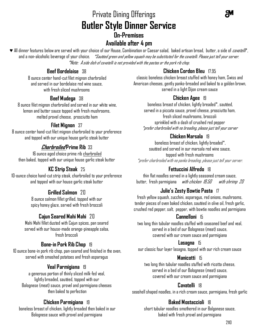# Private Dining Offerings **Butler Style Dinner Service On-Premises**

# **Available after 4 pm**

◆ All dinner features below are served with your choice of our House, Combination or Caesar salad, baked artisan bread, butter, a side of *cavatelli*\*, and a non-alcoholic beverage of your choice. *\*Sautéed green and yellow squash may be substituted for the cavatelli. Please just tell your server.* \*Note: A side dish of cavatelli is not provided with the pastas or the pork rib chop.

# **Beef Bordelaise** 38

8 ounce center hand-cut filet mignon charbroiled and served in our bordelaise red wine sauce, with fresh sliced mushrooms

## **Beef Mudega** 38

8 ounce filet mignon charbroiled and served in our white wine, lemon and butter sauce topped with fresh mushrooms, melted provel cheese, prosciutto ham

## **Filet Mignon** 37

8 ounce center hand-cut filet mignon charbroiled to your preference and topped with our unique house garlic steak butter

# **Charbroiled Prime Rib** 33

16 ounce aged choice prime rib charbroiled then baked, topped with our unique house garlicsteak butter

# **KC Strip Steak** 25

10-ounce choice hand-cut strip steak, charbroiled to your preference and topped with our house garlic steak butter

# **Grilled Salmon** 20

8 ounce salmon fillet grilled, topped with our spicy honey glaze, served with fresh broccoli

# **Cajun Seared Mahi Mahi** 20

Mahi Mahi fillet dusted with Cajun spices, pan seared served with our house-made orange-pineapple salsa, fresh broccoli

# **Bone-in Pork Rib Chop** 19

10 ounce bone-in pork rib chop, pan-seared and finished in the oven, served with smashed potatoes and fresh asparagus

#### **Veal Parmigiana** 19

a generous portion of thinly sliced milk-fed veal, lightly breaded, sautéed, topped with our Bolognese (meat) sauce, provel and parmigiana cheeses then baked to perfection

#### **Chicken Parmigiana** 19

boneless breast of chicken, lightly breaded then baked in our Bolognese sauce with provel and parmigiana

# **Chicken Cordon Bleu** 17.95

classic boneless chicken breast stuffed with honey ham, Swiss and American cheeses, gently panko-breaded and baked to a golden brown, served in a light Dijon cream sauce

#### **Chicken Agee** 19

boneless breast of chicken, lightly breaded\*, sautéed, served in a piccata sauce, provel cheese, prosciutto ham, fresh sliced mushrooms, broccoli sprinkled with a dash of crushed red pepper \*prefer charbroiled with nobreading, please just tell your server

## **Chicken Marsala** 19

boneless breast of chicken, lightly breaded\*, sautéed and served in our marsala red wine sauce, topped with fresh mushrooms \*prefer charbroiled with no panko breading, please just tell your server.

# **Fettuccini Alfredo** 18

thin flat noodles served in a lightly seasoned cream sauce, butter, fresh parmigiana *with chicken 19.50 with shrimp 20* 

# **Julie's Zesty Bowtie Pasta** 17

fresh yellow squash, zucchini, asparagus, red onions, mushrooms, tender pieces of oven baked chicken,sautéed in olive oil, fresh garlic, crushed red pepper, salt, pepper, with bowtie noodles and parmigiana

#### **Cannelloni** 15

two long thin tubular noodles stuffed with seasoned beef and veal, served in a bed of our Bolognese (meat) sauce, covered with our cream sauce and parmigiana

#### **Lasagna** 15

our classic four layer lasagna, topped with our rich cream sauce

#### **Manicotti** 15

two long thin tubular noodles stuffed with ricotta cheese, served in a bed of our Bolognese (meat) sauce, covered with our cream sauce and parmigiana

# **Cavatelli** 18

seashell shaped noodles, in a rich cream sauce, parmigiana, fresh garlic

# **Baked Mostaccioli** 18

short tubular noodles smothered in our Bolgonese sauce, baked with fresh provel and parmigiana